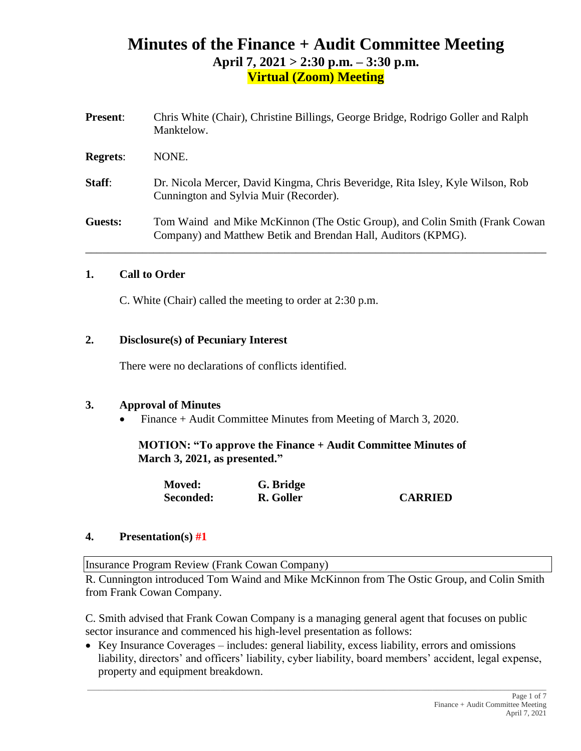# **Minutes of the Finance + Audit Committee Meeting April 7, 2021 > 2:30 p.m. – 3:30 p.m. Virtual (Zoom) Meeting**

| <b>Present:</b> | Chris White (Chair), Christine Billings, George Bridge, Rodrigo Goller and Ralph<br>Manktelow.                                               |
|-----------------|----------------------------------------------------------------------------------------------------------------------------------------------|
| <b>Regrets:</b> | NONE.                                                                                                                                        |
| Staff:          | Dr. Nicola Mercer, David Kingma, Chris Beveridge, Rita Isley, Kyle Wilson, Rob<br>Cunnington and Sylvia Muir (Recorder).                     |
| Guests:         | Tom Waind and Mike McKinnon (The Ostic Group), and Colin Smith (Frank Cowan<br>Company) and Matthew Betik and Brendan Hall, Auditors (KPMG). |

### **1. Call to Order**

C. White (Chair) called the meeting to order at 2:30 p.m.

### **2. Disclosure(s) of Pecuniary Interest**

There were no declarations of conflicts identified.

### **3. Approval of Minutes**

• Finance + Audit Committee Minutes from Meeting of March 3, 2020.

**MOTION: "To approve the Finance + Audit Committee Minutes of March 3, 2021, as presented."**

| <b>Moved:</b> | G. Bridge |                |
|---------------|-----------|----------------|
| Seconded:     | R. Goller | <b>CARRIED</b> |

### **4. Presentation(s) #1**

Insurance Program Review (Frank Cowan Company)

R. Cunnington introduced Tom Waind and Mike McKinnon from The Ostic Group, and Colin Smith from Frank Cowan Company.

C. Smith advised that Frank Cowan Company is a managing general agent that focuses on public sector insurance and commenced his high-level presentation as follows:

• Key Insurance Coverages – includes: general liability, excess liability, errors and omissions liability, directors' and officers' liability, cyber liability, board members' accident, legal expense, property and equipment breakdown.

 $\_$  ,  $\_$  ,  $\_$  ,  $\_$  ,  $\_$  ,  $\_$  ,  $\_$  ,  $\_$  ,  $\_$  ,  $\_$  ,  $\_$  ,  $\_$  ,  $\_$  ,  $\_$  ,  $\_$  ,  $\_$  ,  $\_$  ,  $\_$  ,  $\_$  ,  $\_$  ,  $\_$  ,  $\_$  ,  $\_$  ,  $\_$  ,  $\_$  ,  $\_$  ,  $\_$  ,  $\_$  ,  $\_$  ,  $\_$  ,  $\_$  ,  $\_$  ,  $\_$  ,  $\_$  ,  $\_$  ,  $\_$  ,  $\_$  ,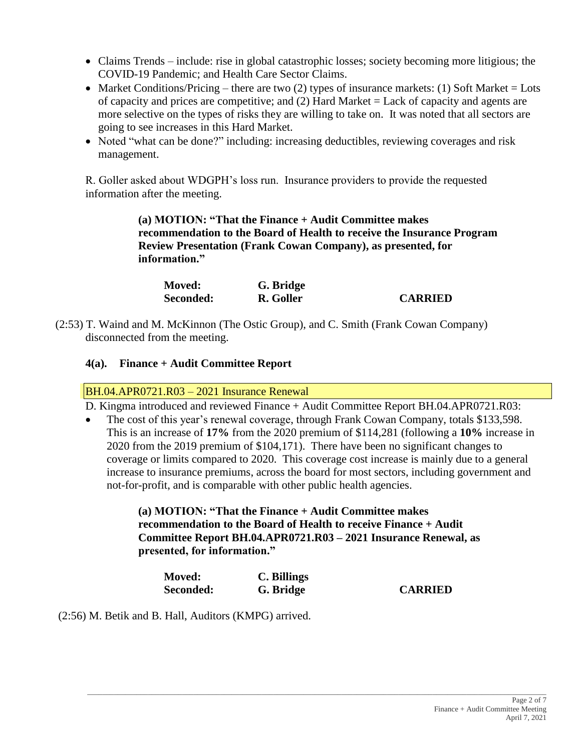- Claims Trends include: rise in global catastrophic losses; society becoming more litigious; the COVID-19 Pandemic; and Health Care Sector Claims.
- Market Conditions/Pricing there are two (2) types of insurance markets: (1) Soft Market = Lots of capacity and prices are competitive; and (2) Hard Market = Lack of capacity and agents are more selective on the types of risks they are willing to take on. It was noted that all sectors are going to see increases in this Hard Market.
- Noted "what can be done?" including: increasing deductibles, reviewing coverages and risk management.

R. Goller asked about WDGPH's loss run. Insurance providers to provide the requested information after the meeting.

> **(a) MOTION: "That the Finance + Audit Committee makes recommendation to the Board of Health to receive the Insurance Program Review Presentation (Frank Cowan Company), as presented, for information."**

| <b>Moved:</b> | G. Bridge |                |
|---------------|-----------|----------------|
| Seconded:     | R. Goller | <b>CARRIED</b> |

(2:53) T. Waind and M. McKinnon (The Ostic Group), and C. Smith (Frank Cowan Company) disconnected from the meeting.

## **4(a). Finance + Audit Committee Report**

### BH.04.APR0721.R03 – 2021 Insurance Renewal

D. Kingma introduced and reviewed Finance + Audit Committee Report BH.04.APR0721.R03:

• The cost of this year's renewal coverage, through Frank Cowan Company, totals \$133,598. This is an increase of **17%** from the 2020 premium of \$114,281 (following a **10%** increase in 2020 from the 2019 premium of \$104,171). There have been no significant changes to coverage or limits compared to 2020. This coverage cost increase is mainly due to a general increase to insurance premiums, across the board for most sectors, including government and not-for-profit, and is comparable with other public health agencies.

### **(a) MOTION: "That the Finance + Audit Committee makes recommendation to the Board of Health to receive Finance + Audit Committee Report BH.04.APR0721.R03 – 2021 Insurance Renewal, as presented, for information."**

| <b>Moved:</b> | C. Billings |                |
|---------------|-------------|----------------|
| Seconded:     | G. Bridge   | <b>CARRIED</b> |

\_\_\_\_\_\_\_\_\_\_\_\_\_\_\_\_\_\_\_\_\_\_\_\_\_\_\_\_\_\_\_\_\_\_\_\_\_\_\_\_\_\_\_\_\_\_\_\_\_\_\_\_\_\_\_\_\_\_\_\_\_\_\_\_\_\_\_\_\_\_\_\_\_\_\_\_\_\_\_\_\_\_\_\_\_\_\_\_\_\_\_\_\_\_\_\_\_\_\_\_\_\_\_\_\_\_\_\_\_\_\_\_\_\_\_\_\_\_\_\_\_

(2:56) M. Betik and B. Hall, Auditors (KMPG) arrived.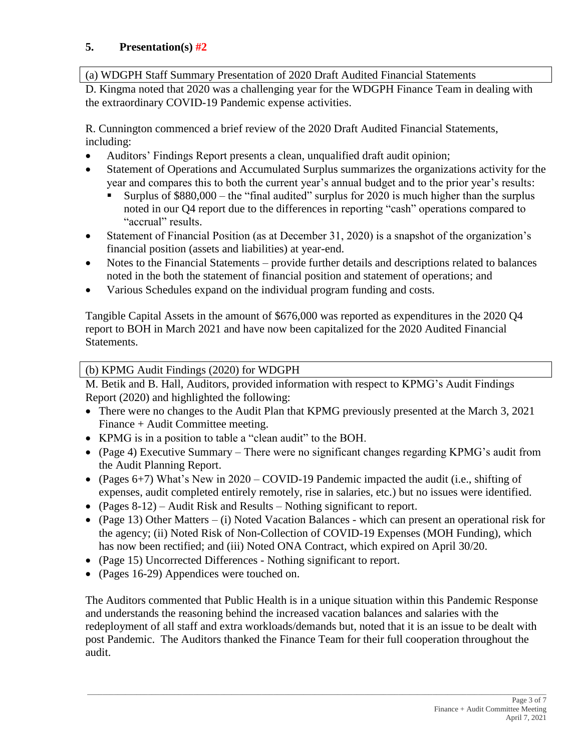## **5. Presentation(s) #2**

(a) WDGPH Staff Summary Presentation of 2020 Draft Audited Financial Statements

D. Kingma noted that 2020 was a challenging year for the WDGPH Finance Team in dealing with the extraordinary COVID-19 Pandemic expense activities.

R. Cunnington commenced a brief review of the 2020 Draft Audited Financial Statements, including:

- Auditors' Findings Report presents a clean, unqualified draft audit opinion;
- Statement of Operations and Accumulated Surplus summarizes the organizations activity for the year and compares this to both the current year's annual budget and to the prior year's results:
	- Surplus of  $$880,000 -$  the "final audited" surplus for 2020 is much higher than the surplus noted in our Q4 report due to the differences in reporting "cash" operations compared to "accrual" results.
- Statement of Financial Position (as at December 31, 2020) is a snapshot of the organization's financial position (assets and liabilities) at year-end.
- Notes to the Financial Statements provide further details and descriptions related to balances noted in the both the statement of financial position and statement of operations; and
- Various Schedules expand on the individual program funding and costs.

Tangible Capital Assets in the amount of \$676,000 was reported as expenditures in the 2020 Q4 report to BOH in March 2021 and have now been capitalized for the 2020 Audited Financial Statements.

(b) KPMG Audit Findings (2020) for WDGPH

M. Betik and B. Hall, Auditors, provided information with respect to KPMG's Audit Findings Report (2020) and highlighted the following:

- There were no changes to the Audit Plan that KPMG previously presented at the March 3, 2021 Finance + Audit Committee meeting.
- KPMG is in a position to table a "clean audit" to the BOH.
- (Page 4) Executive Summary There were no significant changes regarding KPMG's audit from the Audit Planning Report.
- (Pages 6+7) What's New in 2020 COVID-19 Pandemic impacted the audit (i.e., shifting of expenses, audit completed entirely remotely, rise in salaries, etc.) but no issues were identified.
- (Pages 8-12) Audit Risk and Results Nothing significant to report.
- (Page 13) Other Matters (i) Noted Vacation Balances which can present an operational risk for the agency; (ii) Noted Risk of Non-Collection of COVID-19 Expenses (MOH Funding), which has now been rectified; and (iii) Noted ONA Contract, which expired on April 30/20.
- (Page 15) Uncorrected Differences Nothing significant to report.
- (Pages 16-29) Appendices were touched on.

The Auditors commented that Public Health is in a unique situation within this Pandemic Response and understands the reasoning behind the increased vacation balances and salaries with the redeployment of all staff and extra workloads/demands but, noted that it is an issue to be dealt with post Pandemic. The Auditors thanked the Finance Team for their full cooperation throughout the audit.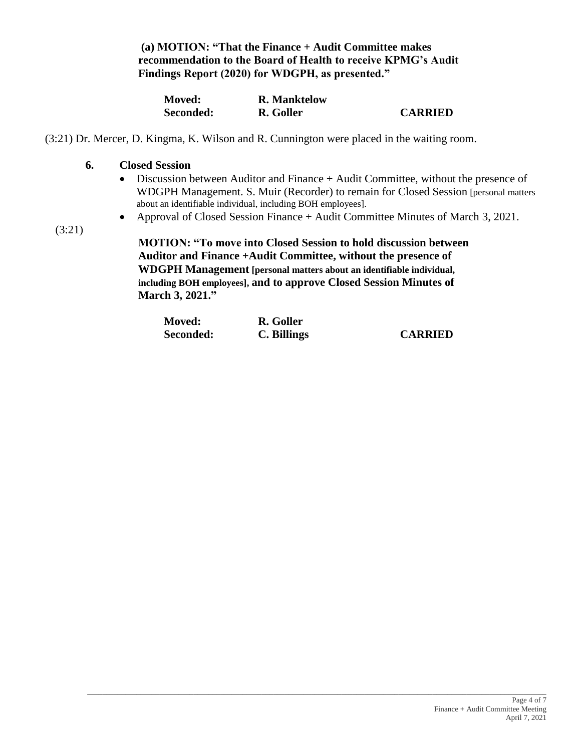**(a) MOTION: "That the Finance + Audit Committee makes recommendation to the Board of Health to receive KPMG's Audit Findings Report (2020) for WDGPH, as presented."**

| <b>Moved:</b> | <b>R.</b> Manktelow |                |
|---------------|---------------------|----------------|
| Seconded:     | R. Goller           | <b>CARRIED</b> |

(3:21) Dr. Mercer, D. Kingma, K. Wilson and R. Cunnington were placed in the waiting room.

### **6. Closed Session**

- Discussion between Auditor and Finance + Audit Committee, without the presence of WDGPH Management. S. Muir (Recorder) to remain for Closed Session [personal matters about an identifiable individual, including BOH employees].
- Approval of Closed Session Finance + Audit Committee Minutes of March 3, 2021.

(3:21)

**MOTION: "To move into Closed Session to hold discussion between Auditor and Finance +Audit Committee, without the presence of WDGPH Management [personal matters about an identifiable individual, including BOH employees], and to approve Closed Session Minutes of March 3, 2021."**

| <b>Moved:</b> | R. Goller   |                |
|---------------|-------------|----------------|
| Seconded:     | C. Billings | <b>CARRIED</b> |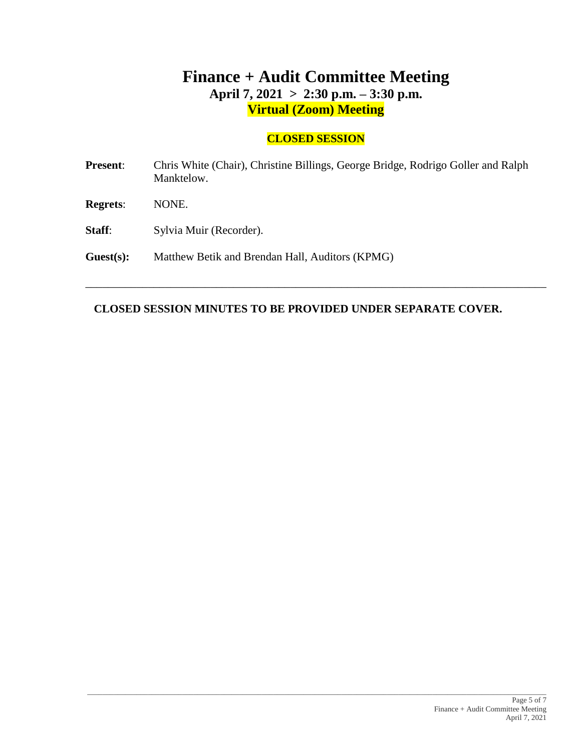# **Finance + Audit Committee Meeting April 7, 2021 > 2:30 p.m. – 3:30 p.m. Virtual (Zoom) Meeting**

## **CLOSED SESSION**

| <b>Present:</b> | Chris White (Chair), Christine Billings, George Bridge, Rodrigo Goller and Ralph<br>Manktelow. |
|-----------------|------------------------------------------------------------------------------------------------|
| <b>Regrets:</b> | NONE.                                                                                          |
| Staff:          | Sylvia Muir (Recorder).                                                                        |
| Guest(s):       | Matthew Betik and Brendan Hall, Auditors (KPMG)                                                |
|                 |                                                                                                |

\_\_\_\_\_\_\_\_\_\_\_\_\_\_\_\_\_\_\_\_\_\_\_\_\_\_\_\_\_\_\_\_\_\_\_\_\_\_\_\_\_\_\_\_\_\_\_\_\_\_\_\_\_\_\_\_\_\_\_\_\_\_\_\_\_\_\_\_\_\_\_\_\_\_\_\_\_\_\_\_\_

## **CLOSED SESSION MINUTES TO BE PROVIDED UNDER SEPARATE COVER.**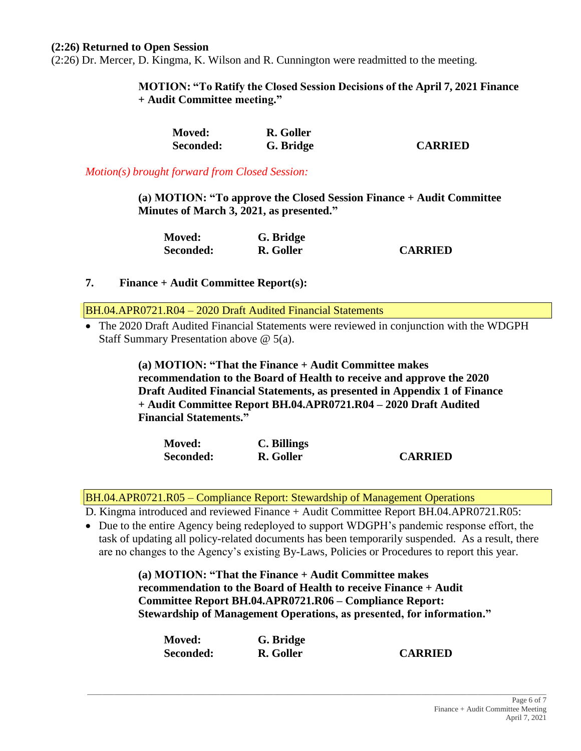#### **(2:26) Returned to Open Session**

(2:26) Dr. Mercer, D. Kingma, K. Wilson and R. Cunnington were readmitted to the meeting.

**MOTION: "To Ratify the Closed Session Decisions of the April 7, 2021 Finance + Audit Committee meeting."**

| <b>Moved:</b>    | R. Goller |                |
|------------------|-----------|----------------|
| <b>Seconded:</b> | G. Bridge | <b>CARRIED</b> |

*Motion(s) brought forward from Closed Session:*

**(a) MOTION: "To approve the Closed Session Finance + Audit Committee Minutes of March 3, 2021, as presented."**

| <b>Moved:</b> | G. Bridge |                |
|---------------|-----------|----------------|
| Seconded:     | R. Goller | <b>CARRIED</b> |

### **7. Finance + Audit Committee Report(s):**

BH.04.APR0721.R04 – 2020 Draft Audited Financial Statements

• The 2020 Draft Audited Financial Statements were reviewed in conjunction with the WDGPH Staff Summary Presentation above @ 5(a).

> **(a) MOTION: "That the Finance + Audit Committee makes recommendation to the Board of Health to receive and approve the 2020 Draft Audited Financial Statements, as presented in Appendix 1 of Finance + Audit Committee Report BH.04.APR0721.R04 – 2020 Draft Audited Financial Statements."**

| <b>Moved:</b> | C. Billings |                |
|---------------|-------------|----------------|
| Seconded:     | R. Goller   | <b>CARRIED</b> |

BH.04.APR0721.R05 – Compliance Report: Stewardship of Management Operations

D. Kingma introduced and reviewed Finance + Audit Committee Report BH.04.APR0721.R05:

• Due to the entire Agency being redeployed to support WDGPH's pandemic response effort, the task of updating all policy-related documents has been temporarily suspended. As a result, there are no changes to the Agency's existing By-Laws, Policies or Procedures to report this year.

> **(a) MOTION: "That the Finance + Audit Committee makes recommendation to the Board of Health to receive Finance + Audit Committee Report BH.04.APR0721.R06 – Compliance Report: Stewardship of Management Operations, as presented, for information."**

| <b>Moved:</b> | G. Bridge |                |
|---------------|-----------|----------------|
| Seconded:     | R. Goller | <b>CARRIED</b> |